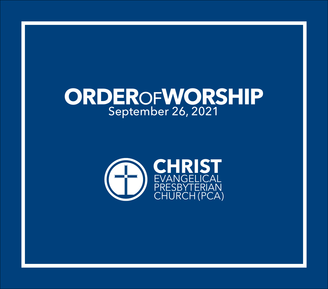# **ORDER**OF**WORSHIP** September 26, 2021

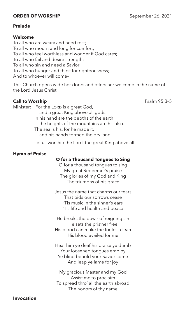### **ORDER OF WORSHIP** September 26, 2021

# **Prelude**

# **Welcome**

To all who are weary and need rest; To all who mourn and long for comfort; To all who feel worthless and wonder if God cares; To all who fail and desire strength; To all who sin and need a Savior; To all who hunger and thirst for righteousness; And to whoever will come–

This Church opens wide her doors and offers her welcome in the name of the Lord Jesus Christ.

# **Call to Worship Call to Worship Psalm 95:3-5**

Minister: For the LORD is a great God, and a great King above all gods. In his hand are the depths of the earth; the heights of the mountains are his also. The sea is his, for he made it, and his hands formed the dry land.

Let us worship the Lord, the great King above all!

# **Hymn of Praise**

# **O for a Thousand Tongues to Sing**

O for a thousand tongues to sing My great Redeemer's praise The glories of my God and King The triumphs of his grace

Jesus the name that charms our fears That bids our sorrows cease 'Tis music in the sinner's ears 'Tis life and health and peace

He breaks the pow'r of reigning sin He sets the pris'ner free His blood can make the foulest clean His blood availed for me

Hear him ye deaf his praise ye dumb Your loosened tongues employ Ye blind behold your Savior come And leap ye lame for joy

My gracious Master and my God Assist me to proclaim To spread thro' all the earth abroad The honors of thy name

#### **Invocation**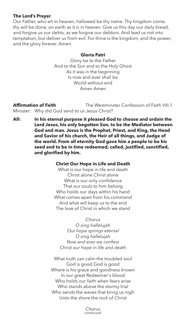# **The Lord's Prayer**

Our Father, who art in heaven, hallowed be thy name. Thy kingdom come, thy will be done, on earth as it is in heaven. Give us this day our daily bread, and forgive us our debts, as we forgive our debtors. And lead us not into temptation, but deliver us from evil. For thine is the kingdom, and the power, and the glory forever. Amen.

# **Gloria Patri**

Glory be to the Father And to the Son and to the Holy Ghost As it was in the beginning Is now and ever shall be World without end Amen Amen

**Affirmation of Faith** The Westminster Confession of Faith VIII.1 Minister: Why did God send to us Jesus Christ?

**All: In his eternal purpose it pleased God to choose and ordain the Lord Jesus, his only begotten Son, to be the Mediator between God and man. Jesus is the Prophet, Priest, and King, the Head and Savior of his church, the Heir of all things, and Judge of the world. From all eternity God gave him a people to be his seed and to be in time redeemed, called, justified, sanctified, and glorified by him.**

# **Christ Our Hope in Life and Death**

What is our hope in life and death Christ alone Christ alone What is our only confidence That our souls to him belong Who holds our days within his hand What comes apart from his command And what will keep us to the end The love of Christ in which we stand

*Chorus O sing hallelujah Our hope springs eternal O sing hallelujah Now and ever we confess Christ our hope in life and death*

What truth can calm the troubled soul God is good God is good Where is his grace and goodness known In our great Redeemer's blood Who holds our faith when fears arise Who stands above the stormy trial Who sends the waves that bring us nigh Unto the shore the rock of Christ

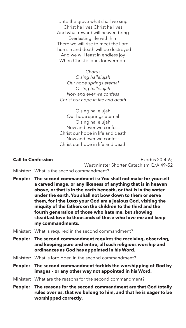Unto the grave what shall we sing Christ he lives Christ he lives And what reward will heaven bring Everlasting life with him There we will rise to meet the Lord Then sin and death will be destroyed And we will feast in endless joy When Christ is ours forevermore

*Chorus O sing hallelujah Our hope springs eternal O sing hallelujah Now and ever we confess Christ our hope in life and death*

O sing hallelujah Our hope springs eternal O sing hallelujah Now and ever we confess Christ our hope in life and death Now and ever we confess Christ our hope in life and death

**Call to Confession Call to Confession** Westminster Shorter Catechism Q/A 49–52

Minister: What is the second commandment?

**People: The second commandment is: You shall not make for yourself a carved image, or any likeness of anything that is in heaven above, or that is in the earth beneath, or that is in the water under the earth. You shall not bow down to them or serve**  them, for I the LORD your God am a jealous God, visiting the **iniquity of the fathers on the children to the third and the fourth generation of those who hate me, but showing steadfast love to thousands of those who love me and keep my commandments.**

Minister: What is required in the second commandment?

**People: The second commandment requires the receiving, observing, and keeping pure and entire, all such religious worship and ordinances as God has appointed in his Word.**

Minister: What is forbidden in the second commandment?

**People: The second commandment forbids the worshipping of God by images – or any other way not appointed in his Word.** 

Minister: What are the reasons for the second commandment?

**People: The reasons for the second commandment are that God totally rules over us, that we belong to him, and that he is eager to be worshipped correctly.**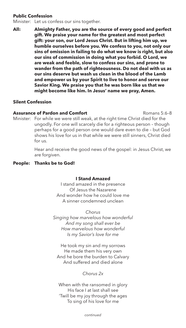# **Public Confession**

Minister: Let us confess our sins together.

**All: Almighty Father, you are the source of every good and perfect gift. We praise your name for the greatest and most perfect gift: your son, our Lord Jesus Christ. But in lifting him up, we humble ourselves before you. We confess to you, not only our sins of omission in failing to do what we know is right, but also our sins of commission in doing what you forbid. O Lord, we are weak and feeble, slow to confess our sins, and prone to wander from the path of righteousness. Do not deal with us as our sins deserve but wash us clean in the blood of the Lamb and empower us by your Spirit to live to honor and serve our Savior King. We praise you that he was born like us that we might become like him. In Jesus' name we pray, Amen.**

# **Silent Confession**

#### Assurance of Pardon and Comfort **Romans 5:6-8** Romans 5:6-8

Minister: For while we were still weak, at the right time Christ died for the ungodly. For one will scarcely die for a righteous person – though perhaps for a good person one would dare even to die – but God shows his love for us in that while we were still sinners, Christ died for us.

> Hear and receive the good news of the gospel: in Jesus Christ, we are forgiven.

# **People: Thanks be to God!**

# **I Stand Amazed**

I stand amazed in the presence Of Jesus the Nazarene And wonder how he could love me A sinner condemned unclean

*Chorus Singing how marvelous how wonderful And my song shall ever be How marvelous how wonderful Is my Savior's love for me*

He took my sin and my sorrows He made them his very own And he bore the burden to Calvary And suffered and died alone

# *Chorus 2x*

When with the ransomed in glory His face I at last shall see 'Twill be my joy through the ages To sing of his love for me